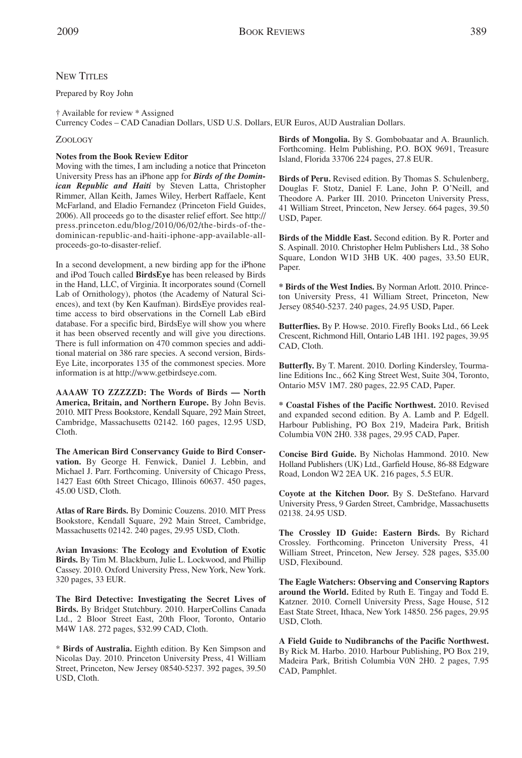## **NEW TITLES**

Prepared by Roy John

† Available for review \* Assigned

Currency Codes – CAD Canadian Dollars, USD U.S. Dollars, EUR Euros, AUD Australian Dollars.

## ZOOLOGY

## **Notes from the Book Review Editor**

Moving with the times, I am including a notice that Princeton University Press has an iPhone app for *Birds of the Dominican Republic and Haiti* by Steven Latta, Christopher Rimmer, Allan Keith, James Wiley, Herbert Raffaele, Kent McFarland, and Eladio Fernandez (Princeton Field Guides, 2006). All proceeds go to the disaster relief effort. See http:// press.princeton.edu/blog/2010/06/02/the-birds-of-thedominican-republic-and-haiti-iphone-app-available-allproceeds-go-to-disaster-relief.

In a second development, a new birding app for the iPhone and iPod Touch called **BirdsEye** has been released by Birds in the Hand, LLC, of Virginia. It incorporates sound (Cornell Lab of Ornithology), photos (the Academy of Natural Sciences), and text (by Ken Kaufman). BirdsEye provides realtime access to bird observations in the Cornell Lab eBird database. For a specific bird, BirdsEye will show you where it has been observed recently and will give you directions. There is full information on 470 common species and additional material on 386 rare species. A second version, Birds-Eye Lite, incorporates 135 of the commonest species. More information is at http://www.getbirdseye.com.

**AAAAW TO ZZZZZD: The Words of Birds — North America, Britain, and Northern Europe.** By John Bevis. 2010. MIT Press Bookstore, Kendall Square, 292 Main Street, Cambridge, Massachusetts 02142. 160 pages, 12.95 USD, Cloth.

**The American Bird Conservancy Guide to Bird Conservation.** By George H. Fenwick, Daniel J. Lebbin, and Michael J. Parr. Forthcoming. University of Chicago Press, 1427 East 60th Street Chicago, Illinois 60637. 450 pages, 45.00 USD, Cloth.

**Atlas of Rare Birds.** By Dominic Couzens. 2010. MIT Press Bookstore, Kendall Square, 292 Main Street, Cambridge, Massachusetts 02142. 240 pages, 29.95 USD, Cloth.

**Avian Invasions**: **The Ecology and Evolution of Exotic Birds.** By Tim M. Blackburn, Julie L. Lockwood, and Phillip Cassey. 2010. Oxford University Press, NewYork, NewYork. 320 pages, 33 EUR.

**The Bird Detective: Investigating the Secret Lives of Birds.** By Bridget Stutchbury. 2010. HarperCollins Canada Ltd., 2 Bloor Street East, 20th Floor, Toronto, Ontario M4W 1A8. 272 pages, \$32.99 CAD, Cloth.

\* **Birds of Australia.** Eighth edition. By Ken Simpson and Nicolas Day. 2010. Princeton University Press, 41 William Street, Princeton, New Jersey 08540-5237. 392 pages, 39.50 USD, Cloth.

**Birds of Mongolia.** By S. Gombobaatar and A. Braunlich. Forthcoming. Helm Publishing, P.O. BOX 9691, Treasure Island, Florida 33706 224 pages, 27.8 EUR.

**Birds of Peru.** Revised edition. By Thomas S. Schulenberg, Douglas F. Stotz, Daniel F. Lane, John P. O'Neill, and Theodore A. Parker III. 2010. Princeton University Press, 41 William Street, Princeton, New Jersey. 664 pages, 39.50 USD, Paper.

**Birds of the Middle East.** Second edition. By R. Porter and S. Aspinall. 2010. Christopher Helm Publishers Ltd., 38 Soho Square, London W1D 3HB UK. 400 pages, 33.50 EUR, Paper.

**\* Birds of the West Indies.** By Norman Arlott. 2010. Princeton University Press, 41 William Street, Princeton, New Jersey 08540-5237. 240 pages, 24.95 USD, Paper.

**Butterflies.** By P. Howse. 2010. Firefly Books Ltd., 66 Leek Crescent, Richmond Hill, Ontario L4B 1H1. 192 pages, 39.95 CAD, Cloth.

**Butterfly.** By T. Marent. 2010. Dorling Kindersley, Tourmaline Editions Inc., 662 King Street West, Suite 304, Toronto, Ontario M5V 1M7. 280 pages, 22.95 CAD, Paper.

**\* Coastal Fishes of the Pacific Northwest.** 2010. Revised and expanded second edition. By A. Lamb and P. Edgell. Harbour Publishing, PO Box 219, Madeira Park, British Columbia V0N 2H0. 338 pages, 29.95 CAD, Paper.

**Concise Bird Guide.** By Nicholas Hammond. 2010. New Holland Publishers (UK) Ltd., Garfield House, 86-88 Edgware Road, London W2 2EA UK. 216 pages, 5.5 EUR.

**Coyote at the Kitchen Door.** By S. DeStefano. Harvard University Press, 9 Garden Street, Cambridge, Massachusetts 02138. 24.95 USD.

**The Crossley ID Guide: Eastern Birds.** By Richard Crossley. Forthcoming. Princeton University Press, 41 William Street, Princeton, New Jersey. 528 pages, \$35.00 USD, Flexibound.

**The Eagle Watchers: Observing and Conserving Raptors around the World.** Edited by Ruth E. Tingay and Todd E. Katzner*.* 2010. Cornell University Press, Sage House, 512 East State Street, Ithaca, New York 14850. 256 pages, 29.95 USD, Cloth.

**A Field Guide to Nudibranchs of the Pacific Northwest.** By Rick M. Harbo. 2010. Harbour Publishing, PO Box 219, Madeira Park, British Columbia V0N 2H0. 2 pages, 7.95 CAD, Pamphlet.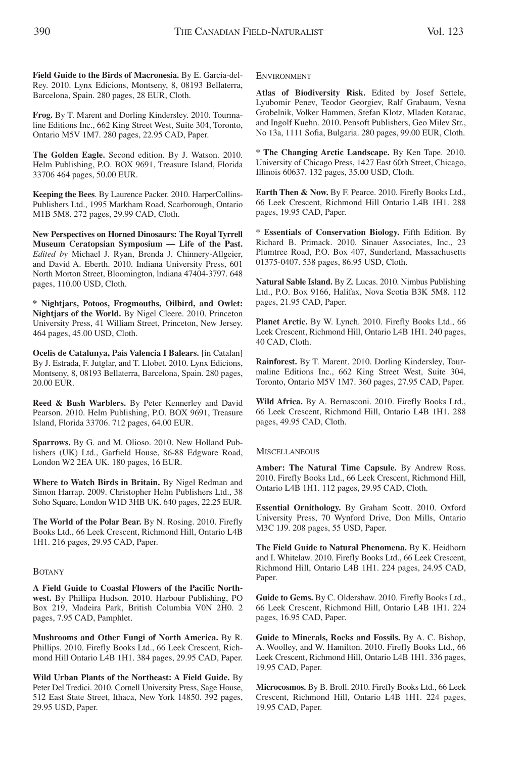**Frog.** By T. Marent and Dorling Kindersley. 2010. Tourmaline Editions Inc., 662 King Street West, Suite 304, Toronto, Ontario M5V 1M7. 280 pages, 22.95 CAD, Paper.

**The Golden Eagle.** Second edition. By J. Watson. 2010. Helm Publishing, P.O. BOX 9691, Treasure Island, Florida 33706 464 pages, 50.00 EUR.

**Keeping the Bees**. By Laurence Packer. 2010. HarperCollins-Publishers Ltd., 1995 Markham Road, Scarborough, Ontario M1B 5M8. 272 pages, 29.99 CAD, Cloth.

**New Perspectives on Horned Dinosaurs: The Royal Tyrrell Museum Ceratopsian Symposium — Life of the Past.** *Edited by* Michael J. Ryan, Brenda J. Chinnery-Allgeier, and David A. Eberth. 2010. Indiana University Press, 601 North Morton Street, Bloomington, lndiana 47404-3797. 648 pages, 110.00 USD, Cloth.

**\* Nightjars, Potoos, Frogmouths, Oilbird, and Owlet: Nightjars of the World.** By Nigel Cleere. 2010. Princeton University Press, 41 William Street, Princeton, New Jersey. 464 pages, 45.00 USD, Cloth.

**Ocelis de Catalunya, Pais Valencia I Balears.** [in Catalan] By J. Estrada, F. Jutglar, and T. Llobet. 2010. Lynx Edicions, Montseny, 8, 08193 Bellaterra, Barcelona, Spain. 280 pages, 20.00 EUR.

**Reed & Bush Warblers.** By Peter Kennerley and David Pearson. 2010. Helm Publishing, P.O. BOX 9691, Treasure Island, Florida 33706. 712 pages, 64.00 EUR.

**Sparrows.** By G. and M. Olioso. 2010. New Holland Publishers (UK) Ltd., Garfield House, 86-88 Edgware Road, London W2 2EA UK. 180 pages, 16 EUR.

**Where to Watch Birds in Britain.** By Nigel Redman and Simon Harrap. 2009. Christopher Helm Publishers Ltd., 38 Soho Square, London W1D 3HB UK. 640 pages, 22.25 EUR.

**The World of the Polar Bear.** By N. Rosing. 2010. Firefly Books Ltd., 66 Leek Crescent, Richmond Hill, Ontario L4B 1H1. 216 pages, 29.95 CAD, Paper.

## **BOTANY**

**A Field Guide to Coastal Flowers of the Pacific Northwest.** By Phillipa Hudson. 2010. Harbour Publishing, PO Box 219, Madeira Park, British Columbia V0N 2H0. 2 pages, 7.95 CAD, Pamphlet.

**Mushrooms and Other Fungi of North America.** By R. Phillips. 2010. Firefly Books Ltd., 66 Leek Crescent, Richmond Hill Ontario L4B 1H1. 384 pages, 29.95 CAD, Paper.

**Wild Urban Plants of the Northeast: A Field Guide.** By Peter Del Tredici. 2010. Cornell University Press, Sage House, 512 East State Street, Ithaca, New York 14850. 392 pages, 29.95 USD, Paper.

ENVIRONMENT

**Atlas of Biodiversity Risk.** Edited by Josef Settele, Lyubomir Penev, Teodor Georgiev, Ralf Grabaum, Vesna Grobelnik, Volker Hammen, Stefan Klotz, Mladen Kotarac, and Ingolf Kuehn. 2010. Pensoft Publishers, Geo Milev Str., No 13a, 1111 Sofia, Bulgaria. 280 pages, 99.00 EUR, Cloth.

**\* The Changing Arctic Landscape.** By Ken Tape. 2010. University of Chicago Press, 1427 East 60th Street, Chicago, Illinois 60637. 132 pages, 35.00 USD, Cloth.

**Earth Then & Now.** By F. Pearce. 2010. Firefly Books Ltd., 66 Leek Crescent, Richmond Hill Ontario L4B 1H1. 288 pages, 19.95 CAD, Paper.

**\* Essentials of Conservation Biology.** Fifth Edition. By Richard B. Primack. 2010. Sinauer Associates, Inc., 23 Plumtree Road, P.O. Box 407, Sunderland, Massachusetts 01375-0407. 538 pages, 86.95 USD, Cloth.

**Natural Sable Island.** By Z. Lucas. 2010. Nimbus Publishing Ltd., P.O. Box 9166, Halifax, Nova Scotia B3K 5M8. 112 pages, 21.95 CAD, Paper.

**Planet Arctic.** By W. Lynch. 2010. Firefly Books Ltd., 66 Leek Crescent, Richmond Hill, Ontario L4B 1H1. 240 pages, 40 CAD, Cloth.

**Rainforest.** By T. Marent. 2010. Dorling Kindersley, Tourmaline Editions Inc., 662 King Street West, Suite 304, Toronto, Ontario M5V 1M7. 360 pages, 27.95 CAD, Paper.

**Wild Africa.** By A. Bernasconi. 2010. Firefly Books Ltd., 66 Leek Crescent, Richmond Hill, Ontario L4B 1H1. 288 pages, 49.95 CAD, Cloth.

**MISCELLANEOUS** 

**Amber: The Natural Time Capsule.** By Andrew Ross. 2010. Firefly Books Ltd., 66 Leek Crescent, Richmond Hill, Ontario L4B 1H1. 112 pages, 29.95 CAD, Cloth.

**Essential Ornithology.** By Graham Scott. 2010. Oxford University Press, 70 Wynford Drive, Don Mills, Ontario M3C 1J9. 208 pages, 55 USD, Paper.

**The Field Guide to Natural Phenomena.** By K. Heidhorn and I. Whitelaw. 2010. Firefly Books Ltd., 66 Leek Crescent, Richmond Hill, Ontario L4B 1H1. 224 pages, 24.95 CAD, Paper.

**Guide to Gems.** By C. Oldershaw. 2010. Firefly Books Ltd., 66 Leek Crescent, Richmond Hill, Ontario L4B 1H1. 224 pages, 16.95 CAD, Paper.

**Guide to Minerals, Rocks and Fossils.** By A. C. Bishop, A. Woolley, and W. Hamilton. 2010. Firefly Books Ltd., 66 Leek Crescent, Richmond Hill, Ontario L4B 1H1. 336 pages, 19.95 CAD, Paper.

**Microcosmos.** By B. Broll. 2010. Firefly Books Ltd., 66 Leek Crescent, Richmond Hill, Ontario L4B 1H1. 224 pages, 19.95 CAD, Paper.